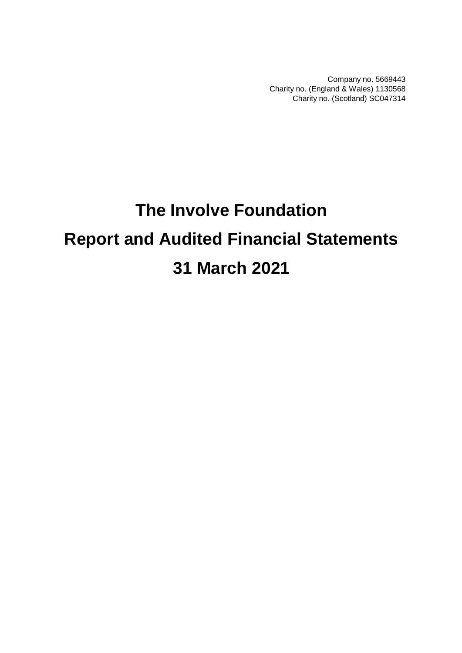Company no. 5669443 Charity no. (England & Wales) 1130568 Charity no. (Scotland) SC047314

# **The Involve Foundation Report and Audited Financial Statements 31 March 2021**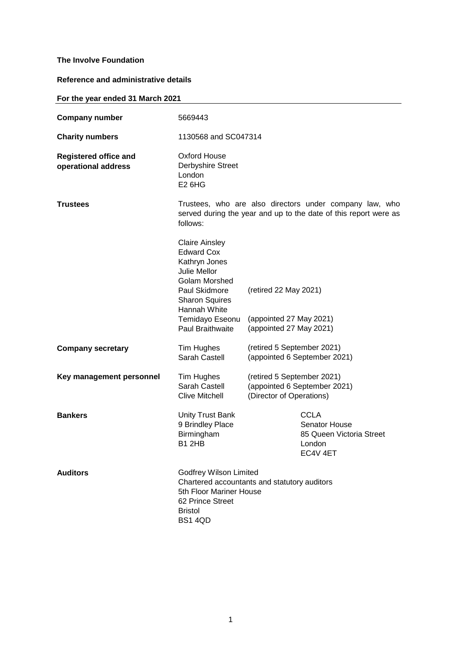## **Reference and administrative details**

## **For the year ended 31 March 2021**

| <b>Company number</b>                               | 5669443                                                                                                                                                                                       |                                                                                        |  |  |  |
|-----------------------------------------------------|-----------------------------------------------------------------------------------------------------------------------------------------------------------------------------------------------|----------------------------------------------------------------------------------------|--|--|--|
| <b>Charity numbers</b>                              |                                                                                                                                                                                               | 1130568 and SC047314                                                                   |  |  |  |
| <b>Registered office and</b><br>operational address | Oxford House<br>Derbyshire Street<br>London<br>E <sub>2</sub> 6H <sub>G</sub>                                                                                                                 |                                                                                        |  |  |  |
| <b>Trustees</b>                                     | Trustees, who are also directors under company law, who<br>served during the year and up to the date of this report were as<br>follows:                                                       |                                                                                        |  |  |  |
|                                                     | <b>Claire Ainsley</b><br><b>Edward Cox</b><br>Kathryn Jones<br>Julie Mellor<br>Golam Morshed<br>Paul Skidmore<br><b>Sharon Squires</b><br>Hannah White<br>Temidayo Eseonu<br>Paul Braithwaite | (retired 22 May 2021)<br>(appointed 27 May 2021)<br>(appointed 27 May 2021)            |  |  |  |
| <b>Company secretary</b>                            | Tim Hughes<br>Sarah Castell                                                                                                                                                                   | (retired 5 September 2021)<br>(appointed 6 September 2021)                             |  |  |  |
| Key management personnel                            | Tim Hughes<br>Sarah Castell<br><b>Clive Mitchell</b>                                                                                                                                          | (retired 5 September 2021)<br>(appointed 6 September 2021)<br>(Director of Operations) |  |  |  |
| <b>Bankers</b>                                      | <b>Unity Trust Bank</b><br>9 Brindley Place<br>Birmingham<br><b>B1 2HB</b>                                                                                                                    | <b>CCLA</b><br>Senator House<br>85 Queen Victoria Street<br>London<br>EC4V 4ET         |  |  |  |
| <b>Auditors</b>                                     | <b>Godfrey Wilson Limited</b><br>5th Floor Mariner House<br>62 Prince Street<br><b>Bristol</b><br><b>BS1 4QD</b>                                                                              | Chartered accountants and statutory auditors                                           |  |  |  |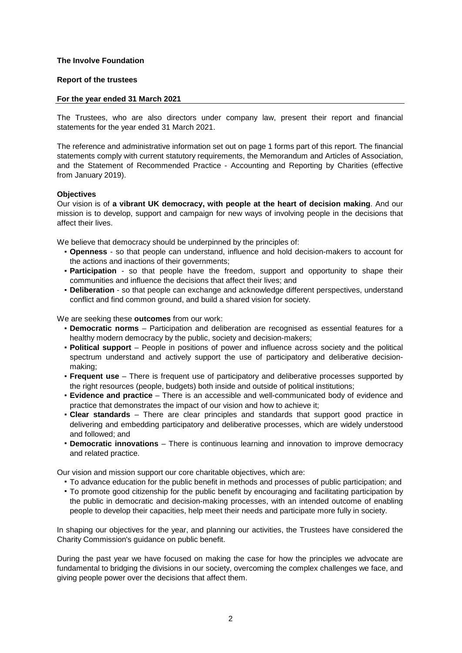## **Report of the trustees**

## **For the year ended 31 March 2021**

The Trustees, who are also directors under company law, present their report and financial statements for the year ended 31 March 2021.

The reference and administrative information set out on page 1 forms part of this report. The financial statements comply with current statutory requirements, the Memorandum and Articles of Association, and the Statement of Recommended Practice - Accounting and Reporting by Charities (effective from January 2019).

## **Objectives**

Our vision is of **a vibrant UK democracy, with people at the heart of decision making**. And our mission is to develop, support and campaign for new ways of involving people in the decisions that affect their lives.

We believe that democracy should be underpinned by the principles of:

- **Openness** so that people can understand, influence and hold decision-makers to account for the actions and inactions of their governments;
- **Participation** so that people have the freedom, support and opportunity to shape their communities and influence the decisions that affect their lives; and
- **Deliberation** so that people can exchange and acknowledge different perspectives, understand conflict and find common ground, and build a shared vision for society.

We are seeking these **outcomes** from our work:

- **Democratic norms** Participation and deliberation are recognised as essential features for a healthy modern democracy by the public, society and decision-makers;
- **Political support** People in positions of power and influence across society and the political spectrum understand and actively support the use of participatory and deliberative decisionmaking;
- **Frequent use** There is frequent use of participatory and deliberative processes supported by the right resources (people, budgets) both inside and outside of political institutions;
- **Evidence and practice** There is an accessible and well-communicated body of evidence and practice that demonstrates the impact of our vision and how to achieve it;
- **Clear standards** There are clear principles and standards that support good practice in delivering and embedding participatory and deliberative processes, which are widely understood and followed; and
- **Democratic innovations** There is continuous learning and innovation to improve democracy and related practice.

Our vision and mission support our core charitable objectives, which are:

- To advance education for the public benefit in methods and processes of public participation; and
- To promote good citizenship for the public benefit by encouraging and facilitating participation by the public in democratic and decision-making processes, with an intended outcome of enabling people to develop their capacities, help meet their needs and participate more fully in society.

In shaping our objectives for the year, and planning our activities, the Trustees have considered the Charity Commission's guidance on public benefit.

During the past year we have focused on making the case for how the principles we advocate are fundamental to bridging the divisions in our society, overcoming the complex challenges we face, and giving people power over the decisions that affect them.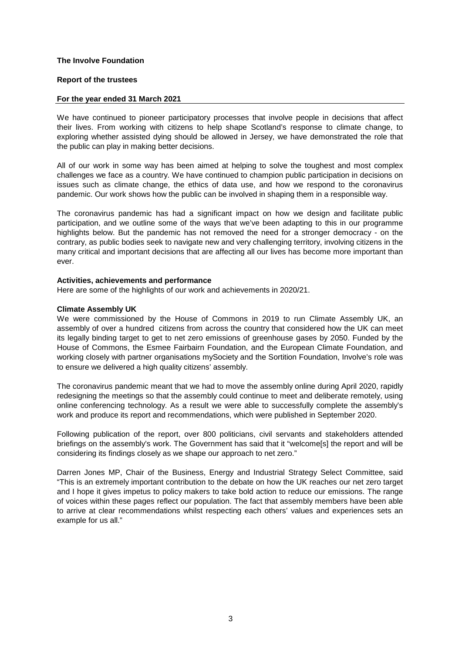## **Report of the trustees**

## **For the year ended 31 March 2021**

We have continued to pioneer participatory processes that involve people in decisions that affect their lives. From working with citizens to help shape Scotland's response to climate change, to exploring whether assisted dying should be allowed in Jersey, we have demonstrated the role that the public can play in making better decisions.

All of our work in some way has been aimed at helping to solve the toughest and most complex challenges we face as a country. We have continued to champion public participation in decisions on issues such as climate change, the ethics of data use, and how we respond to the coronavirus pandemic. Our work shows how the public can be involved in shaping them in a responsible way.

The coronavirus pandemic has had a significant impact on how we design and facilitate public participation, and we outline some of the ways that we've been adapting to this in our programme highlights below. But the pandemic has not removed the need for a stronger democracy - on the contrary, as public bodies seek to navigate new and very challenging territory, involving citizens in the many critical and important decisions that are affecting all our lives has become more important than ever.

#### **Activities, achievements and performance**

Here are some of the highlights of our work and achievements in 2020/21.

## **Climate Assembly UK**

We were commissioned by the House of Commons in 2019 to run Climate Assembly UK, an assembly of over a hundred citizens from across the country that considered how the UK can meet its legally binding target to get to net zero emissions of greenhouse gases by 2050. Funded by the House of Commons, the Esmee Fairbairn Foundation, and the European Climate Foundation, and working closely with partner organisations mySociety and the Sortition Foundation, Involve's role was to ensure we delivered a high quality citizens' assembly.

The coronavirus pandemic meant that we had to move the assembly online during April 2020, rapidly redesigning the meetings so that the assembly could continue to meet and deliberate remotely, using online conferencing technology. As a result we were able to successfully complete the assembly's work and produce its report and recommendations, which were published in September 2020.

Following publication of the report, over 800 politicians, civil servants and stakeholders attended briefings on the assembly's work. The Government has said that it "welcome[s] the report and will be considering its findings closely as we shape our approach to net zero."

Darren Jones MP, Chair of the Business, Energy and Industrial Strategy Select Committee, said "This is an extremely important contribution to the debate on how the UK reaches our net zero target and I hope it gives impetus to policy makers to take bold action to reduce our emissions. The range of voices within these pages reflect our population. The fact that assembly members have been able to arrive at clear recommendations whilst respecting each others' values and experiences sets an example for us all."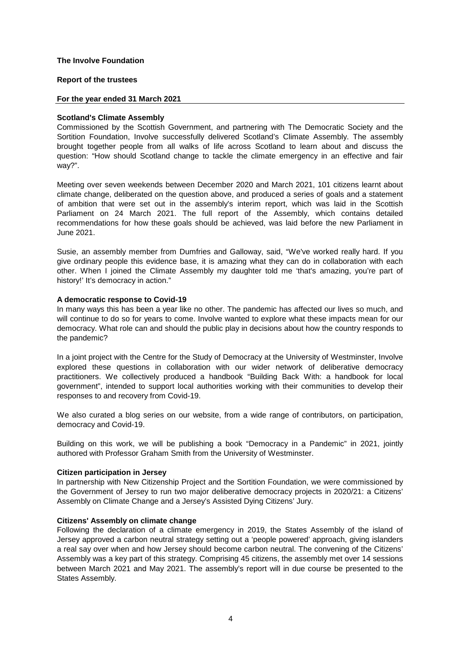## **Report of the trustees**

#### **For the year ended 31 March 2021**

## **Scotland's Climate Assembly**

Commissioned by the Scottish Government, and partnering with The Democratic Society and the Sortition Foundation, Involve successfully delivered Scotland's Climate Assembly. The assembly brought together people from all walks of life across Scotland to learn about and discuss the question: "How should Scotland change to tackle the climate emergency in an effective and fair way?".

Meeting over seven weekends between December 2020 and March 2021, 101 citizens learnt about climate change, deliberated on the question above, and produced a series of goals and a statement of ambition that were set out in the assembly's interim report, which was laid in the Scottish Parliament on 24 March 2021. The full report of the Assembly, which contains detailed recommendations for how these goals should be achieved, was laid before the new Parliament in June 2021.

Susie, an assembly member from Dumfries and Galloway, said, "We've worked really hard. If you give ordinary people this evidence base, it is amazing what they can do in collaboration with each other. When I joined the Climate Assembly my daughter told me 'that's amazing, you're part of history!' It's democracy in action."

#### **A democratic response to Covid-19**

In many ways this has been a year like no other. The pandemic has affected our lives so much, and will continue to do so for years to come. Involve wanted to explore what these impacts mean for our democracy. What role can and should the public play in decisions about how the country responds to the pandemic?

In a joint project with the Centre for the Study of Democracy at the University of Westminster, Involve explored these questions in collaboration with our wider network of deliberative democracy practitioners. We collectively produced a handbook "Building Back With: a handbook for local government", intended to support local authorities working with their communities to develop their responses to and recovery from Covid-19.

We also curated a blog series on our website, from a wide range of contributors, on participation, democracy and Covid-19.

Building on this work, we will be publishing a book "Democracy in a Pandemic" in 2021, jointly authored with Professor Graham Smith from the University of Westminster.

#### **Citizen participation in Jersey**

In partnership with New Citizenship Project and the Sortition Foundation, we were commissioned by the Government of Jersey to run two major deliberative democracy projects in 2020/21: a Citizens' Assembly on Climate Change and a Jersey's Assisted Dying Citizens' Jury.

#### **Citizens' Assembly on climate change**

Following the declaration of a climate emergency in 2019, the States Assembly of the island of Jersey approved a carbon neutral strategy setting out a 'people powered' approach, giving islanders a real say over when and how Jersey should become carbon neutral. The convening of the Citizens' Assembly was a key part of this strategy. Comprising 45 citizens, the assembly met over 14 sessions between March 2021 and May 2021. The assembly's report will in due course be presented to the States Assembly.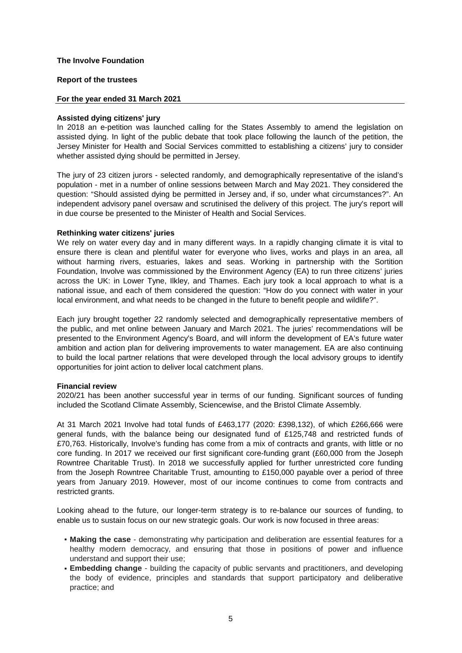## **Report of the trustees**

## **For the year ended 31 March 2021**

## **Assisted dying citizens' jury**

In 2018 an e-petition was launched calling for the States Assembly to amend the legislation on assisted dying. In light of the public debate that took place following the launch of the petition, the Jersey Minister for Health and Social Services committed to establishing a citizens' jury to consider whether assisted dying should be permitted in Jersey.

The jury of 23 citizen jurors - selected randomly, and demographically representative of the island's population - met in a number of online sessions between March and May 2021. They considered the question: "Should assisted dying be permitted in Jersey and, if so, under what circumstances?". An independent advisory panel oversaw and scrutinised the delivery of this project. The jury's report will in due course be presented to the Minister of Health and Social Services.

## **Rethinking water citizens' juries**

We rely on water every day and in many different ways. In a rapidly changing climate it is vital to ensure there is clean and plentiful water for everyone who lives, works and plays in an area, all without harming rivers, estuaries, lakes and seas. Working in partnership with the Sortition Foundation, Involve was commissioned by the Environment Agency (EA) to run three citizens' juries across the UK: in Lower Tyne, Ilkley, and Thames. Each jury took a local approach to what is a national issue, and each of them considered the question: "How do you connect with water in your local environment, and what needs to be changed in the future to benefit people and wildlife?".

Each jury brought together 22 randomly selected and demographically representative members of the public, and met online between January and March 2021. The juries' recommendations will be presented to the Environment Agency's Board, and will inform the development of EA's future water ambition and action plan for delivering improvements to water management. EA are also continuing to build the local partner relations that were developed through the local advisory groups to identify opportunities for joint action to deliver local catchment plans.

## **Financial review**

2020/21 has been another successful year in terms of our funding. Significant sources of funding included the Scotland Climate Assembly, Sciencewise, and the Bristol Climate Assembly.

At 31 March 2021 Involve had total funds of £463,177 (2020: £398,132), of which £266,666 were general funds, with the balance being our designated fund of £125,748 and restricted funds of £70,763. Historically, Involve's funding has come from a mix of contracts and grants, with little or no core funding. In 2017 we received our first significant core-funding grant (£60,000 from the Joseph Rowntree Charitable Trust). In 2018 we successfully applied for further unrestricted core funding from the Joseph Rowntree Charitable Trust, amounting to £150,000 payable over a period of three years from January 2019. However, most of our income continues to come from contracts and restricted grants.

Looking ahead to the future, our longer-term strategy is to re-balance our sources of funding, to enable us to sustain focus on our new strategic goals. Our work is now focused in three areas:

- **Making the case** demonstrating why participation and deliberation are essential features for a healthy modern democracy, and ensuring that those in positions of power and influence understand and support their use;
- **Embedding change** building the capacity of public servants and practitioners, and developing the body of evidence, principles and standards that support participatory and deliberative practice; and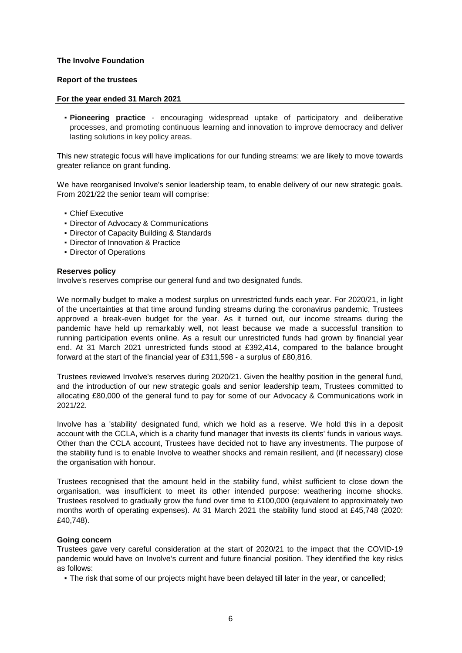## **Report of the trustees**

## **For the year ended 31 March 2021**

▪ **Pioneering practice** - encouraging widespread uptake of participatory and deliberative processes, and promoting continuous learning and innovation to improve democracy and deliver lasting solutions in key policy areas.

This new strategic focus will have implications for our funding streams: we are likely to move towards greater reliance on grant funding.

We have reorganised Involve's senior leadership team, to enable delivery of our new strategic goals. From 2021/22 the senior team will comprise:

- Chief Executive
- Director of Advocacy & Communications
- Director of Capacity Building & Standards
- **Director of Innovation & Practice**
- **Director of Operations**

#### **Reserves policy**

Involve's reserves comprise our general fund and two designated funds.

We normally budget to make a modest surplus on unrestricted funds each year. For 2020/21, in light of the uncertainties at that time around funding streams during the coronavirus pandemic, Trustees approved a break-even budget for the year. As it turned out, our income streams during the pandemic have held up remarkably well, not least because we made a successful transition to running participation events online. As a result our unrestricted funds had grown by financial year end. At 31 March 2021 unrestricted funds stood at £392,414, compared to the balance brought forward at the start of the financial year of £311,598 - a surplus of £80,816.

Trustees reviewed Involve's reserves during 2020/21. Given the healthy position in the general fund, and the introduction of our new strategic goals and senior leadership team, Trustees committed to allocating £80,000 of the general fund to pay for some of our Advocacy & Communications work in 2021/22.

Involve has a 'stability' designated fund, which we hold as a reserve. We hold this in a deposit account with the CCLA, which is a charity fund manager that invests its clients' funds in various ways. Other than the CCLA account, Trustees have decided not to have any investments. The purpose of the stability fund is to enable Involve to weather shocks and remain resilient, and (if necessary) close the organisation with honour.

Trustees recognised that the amount held in the stability fund, whilst sufficient to close down the organisation, was insufficient to meet its other intended purpose: weathering income shocks. Trustees resolved to gradually grow the fund over time to £100,000 (equivalent to approximately two months worth of operating expenses). At 31 March 2021 the stability fund stood at £45,748 (2020: £40,748).

#### **Going concern**

Trustees gave very careful consideration at the start of 2020/21 to the impact that the COVID-19 pandemic would have on Involve's current and future financial position. They identified the key risks as follows:

▪ The risk that some of our projects might have been delayed till later in the year, or cancelled;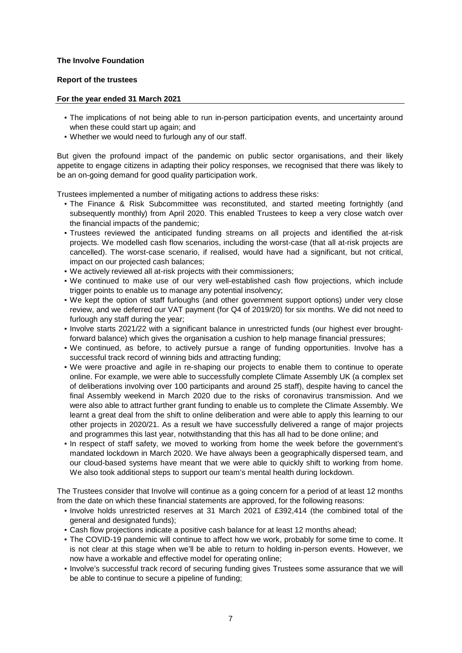## **Report of the trustees**

## **For the year ended 31 March 2021**

- The implications of not being able to run in-person participation events, and uncertainty around when these could start up again; and
- Whether we would need to furlough any of our staff.

But given the profound impact of the pandemic on public sector organisations, and their likely appetite to engage citizens in adapting their policy responses, we recognised that there was likely to be an on-going demand for good quality participation work.

Trustees implemented a number of mitigating actions to address these risks:

- The Finance & Risk Subcommittee was reconstituted, and started meeting fortnightly (and subsequently monthly) from April 2020. This enabled Trustees to keep a very close watch over the financial impacts of the pandemic;
- Trustees reviewed the anticipated funding streams on all projects and identified the at-risk projects. We modelled cash flow scenarios, including the worst-case (that all at-risk projects are cancelled). The worst-case scenario, if realised, would have had a significant, but not critical, impact on our projected cash balances;
- We actively reviewed all at-risk projects with their commissioners;
- We continued to make use of our very well-established cash flow projections, which include trigger points to enable us to manage any potential insolvency;
- We kept the option of staff furloughs (and other government support options) under very close review, and we deferred our VAT payment (for Q4 of 2019/20) for six months. We did not need to furlough any staff during the year;
- Involve starts 2021/22 with a significant balance in unrestricted funds (our highest ever broughtforward balance) which gives the organisation a cushion to help manage financial pressures;
- We continued, as before, to actively pursue a range of funding opportunities. Involve has a successful track record of winning bids and attracting funding;
- We were proactive and agile in re-shaping our projects to enable them to continue to operate online. For example, we were able to successfully complete Climate Assembly UK (a complex set of deliberations involving over 100 participants and around 25 staff), despite having to cancel the final Assembly weekend in March 2020 due to the risks of coronavirus transmission. And we were also able to attract further grant funding to enable us to complete the Climate Assembly. We learnt a great deal from the shift to online deliberation and were able to apply this learning to our other projects in 2020/21. As a result we have successfully delivered a range of major projects and programmes this last year, notwithstanding that this has all had to be done online; and
- In respect of staff safety, we moved to working from home the week before the government's mandated lockdown in March 2020. We have always been a geographically dispersed team, and our cloud-based systems have meant that we were able to quickly shift to working from home. We also took additional steps to support our team's mental health during lockdown.

The Trustees consider that Involve will continue as a going concern for a period of at least 12 months from the date on which these financial statements are approved, for the following reasons:

- Involve holds unrestricted reserves at 31 March 2021 of £392,414 (the combined total of the general and designated funds);
- **Cash flow projections indicate a positive cash balance for at least 12 months ahead;**
- **•** The COVID-19 pandemic will continue to affect how we work, probably for some time to come. It is not clear at this stage when we'll be able to return to holding in-person events. However, we now have a workable and effective model for operating online;
- Involve's successful track record of securing funding gives Trustees some assurance that we will be able to continue to secure a pipeline of funding;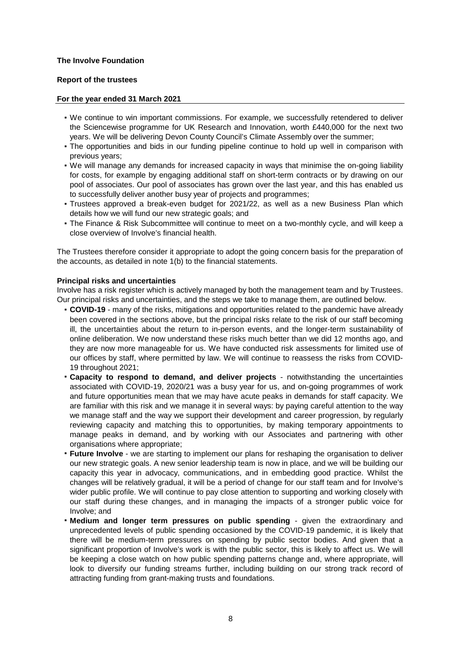## **Report of the trustees**

## **For the year ended 31 March 2021**

- We continue to win important commissions. For example, we successfully retendered to deliver the Sciencewise programme for UK Research and Innovation, worth £440,000 for the next two years. We will be delivering Devon County Council's Climate Assembly over the summer;
- The opportunities and bids in our funding pipeline continue to hold up well in comparison with previous years;
- We will manage any demands for increased capacity in ways that minimise the on-going liability for costs, for example by engaging additional staff on short-term contracts or by drawing on our pool of associates. Our pool of associates has grown over the last year, and this has enabled us to successfully deliver another busy year of projects and programmes;
- Trustees approved a break-even budget for 2021/22, as well as a new Business Plan which details how we will fund our new strategic goals; and
- The Finance & Risk Subcommittee will continue to meet on a two-monthly cycle, and will keep a close overview of Involve's financial health.

The Trustees therefore consider it appropriate to adopt the going concern basis for the preparation of the accounts, as detailed in note 1(b) to the financial statements.

## **Principal risks and uncertainties**

Involve has a risk register which is actively managed by both the management team and by Trustees. Our principal risks and uncertainties, and the steps we take to manage them, are outlined below.

- **COVID-19** many of the risks, mitigations and opportunities related to the pandemic have already been covered in the sections above, but the principal risks relate to the risk of our staff becoming ill, the uncertainties about the return to in-person events, and the longer-term sustainability of online deliberation. We now understand these risks much better than we did 12 months ago, and they are now more manageable for us. We have conducted risk assessments for limited use of our offices by staff, where permitted by law. We will continue to reassess the risks from COVID-19 throughout 2021;
- **Capacity to respond to demand, and deliver projects** - notwithstanding the uncertainties associated with COVID-19, 2020/21 was a busy year for us, and on-going programmes of work and future opportunities mean that we may have acute peaks in demands for staff capacity. We are familiar with this risk and we manage it in several ways: by paying careful attention to the way we manage staff and the way we support their development and career progression, by regularly reviewing capacity and matching this to opportunities, by making temporary appointments to manage peaks in demand, and by working with our Associates and partnering with other organisations where appropriate;
- **Future Involve** - we are starting to implement our plans for reshaping the organisation to deliver our new strategic goals. A new senior leadership team is now in place, and we will be building our capacity this year in advocacy, communications, and in embedding good practice. Whilst the changes will be relatively gradual, it will be a period of change for our staff team and for Involve's wider public profile. We will continue to pay close attention to supporting and working closely with our staff during these changes, and in managing the impacts of a stronger public voice for Involve; and
- **Medium and longer term pressures on public spending** given the extraordinary and unprecedented levels of public spending occasioned by the COVID-19 pandemic, it is likely that there will be medium-term pressures on spending by public sector bodies. And given that a significant proportion of Involve's work is with the public sector, this is likely to affect us. We will be keeping a close watch on how public spending patterns change and, where appropriate, will look to diversify our funding streams further, including building on our strong track record of attracting funding from grant-making trusts and foundations.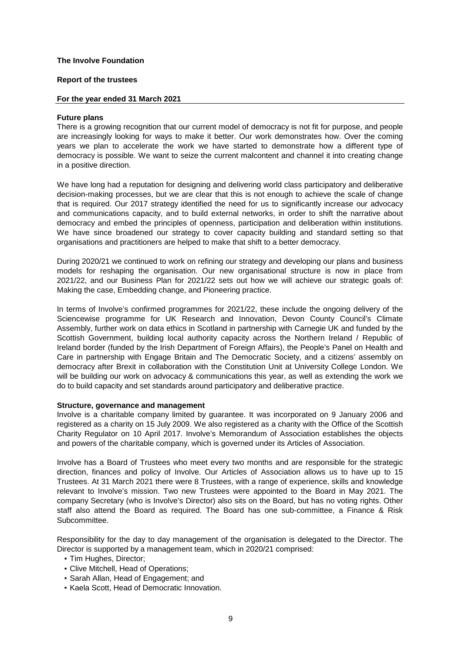#### **Report of the trustees**

## **For the year ended 31 March 2021**

#### **Future plans**

There is a growing recognition that our current model of democracy is not fit for purpose, and people are increasingly looking for ways to make it better. Our work demonstrates how. Over the coming years we plan to accelerate the work we have started to demonstrate how a different type of democracy is possible. We want to seize the current malcontent and channel it into creating change in a positive direction.

We have long had a reputation for designing and delivering world class participatory and deliberative decision-making processes, but we are clear that this is not enough to achieve the scale of change that is required. Our 2017 strategy identified the need for us to significantly increase our advocacy and communications capacity, and to build external networks, in order to shift the narrative about democracy and embed the principles of openness, participation and deliberation within institutions. We have since broadened our strategy to cover capacity building and standard setting so that organisations and practitioners are helped to make that shift to a better democracy.

During 2020/21 we continued to work on refining our strategy and developing our plans and business models for reshaping the organisation. Our new organisational structure is now in place from 2021/22, and our Business Plan for 2021/22 sets out how we will achieve our strategic goals of: Making the case, Embedding change, and Pioneering practice.

In terms of Involve's confirmed programmes for 2021/22, these include the ongoing delivery of the Sciencewise programme for UK Research and Innovation, Devon County Council's Climate Assembly, further work on data ethics in Scotland in partnership with Carnegie UK and funded by the Scottish Government, building local authority capacity across the Northern Ireland / Republic of Ireland border (funded by the Irish Department of Foreign Affairs), the People's Panel on Health and Care in partnership with Engage Britain and The Democratic Society, and a citizens' assembly on democracy after Brexit in collaboration with the Constitution Unit at University College London. We will be building our work on advocacy & communications this year, as well as extending the work we do to build capacity and set standards around participatory and deliberative practice.

#### **Structure, governance and management**

Involve is a charitable company limited by guarantee. It was incorporated on 9 January 2006 and registered as a charity on 15 July 2009. We also registered as a charity with the Office of the Scottish Charity Regulator on 10 April 2017. Involve's Memorandum of Association establishes the objects and powers of the charitable company, which is governed under its Articles of Association.

Involve has a Board of Trustees who meet every two months and are responsible for the strategic direction, finances and policy of Involve. Our Articles of Association allows us to have up to 15 Trustees. At 31 March 2021 there were 8 Trustees, with a range of experience, skills and knowledge relevant to Involve's mission. Two new Trustees were appointed to the Board in May 2021. The company Secretary (who is Involve's Director) also sits on the Board, but has no voting rights. Other staff also attend the Board as required. The Board has one sub-committee, a Finance & Risk Subcommittee.

Responsibility for the day to day management of the organisation is delegated to the Director. The Director is supported by a management team, which in 2020/21 comprised:

- **Tim Hughes, Director;**
- Clive Mitchell, Head of Operations;
- Sarah Allan, Head of Engagement; and
- Kaela Scott, Head of Democratic Innovation.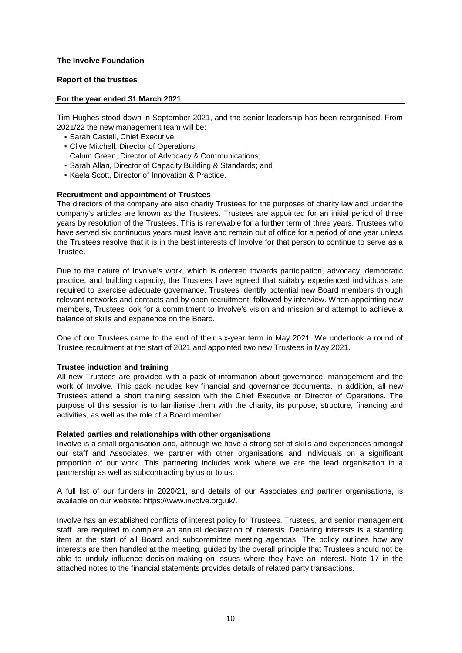## **Report of the trustees**

## **For the year ended 31 March 2021**

Tim Hughes stood down in September 2021, and the senior leadership has been reorganised. From 2021/22 the new management team will be:

- Sarah Castell, Chief Executive;
- Clive Mitchell, Director of Operations; Calum Green, Director of Advocacy & Communications;
- Sarah Allan, Director of Capacity Building & Standards; and
- Kaela Scott, Director of Innovation & Practice.

## **Recruitment and appointment of Trustees**

The directors of the company are also charity Trustees for the purposes of charity law and under the company's articles are known as the Trustees. Trustees are appointed for an initial period of three years by resolution of the Trustees. This is renewable for a further term of three years. Trustees who have served six continuous years must leave and remain out of office for a period of one year unless the Trustees resolve that it is in the best interests of Involve for that person to continue to serve as a Trustee.

Due to the nature of Involve's work, which is oriented towards participation, advocacy, democratic practice, and building capacity, the Trustees have agreed that suitably experienced individuals are required to exercise adequate governance. Trustees identify potential new Board members through relevant networks and contacts and by open recruitment, followed by interview. When appointing new members, Trustees look for a commitment to Involve's vision and mission and attempt to achieve a balance of skills and experience on the Board.

One of our Trustees came to the end of their six-year term in May 2021. We undertook a round of Trustee recruitment at the start of 2021 and appointed two new Trustees in May 2021.

#### **Trustee induction and training**

All new Trustees are provided with a pack of information about governance, management and the work of Involve. This pack includes key financial and governance documents. In addition, all new Trustees attend a short training session with the Chief Executive or Director of Operations. The purpose of this session is to familiarise them with the charity, its purpose, structure, financing and activities, as well as the role of a Board member.

#### **Related parties and relationships with other organisations**

Involve is a small organisation and, although we have a strong set of skills and experiences amongst our staff and Associates, we partner with other organisations and individuals on a significant proportion of our work. This partnering includes work where we are the lead organisation in a partnership as well as subcontracting by us or to us.

A full list of our funders in 2020/21, and details of our Associates and partner organisations, is available on our website: https://www.involve.org.uk/.

Involve has an established conflicts of interest policy for Trustees. Trustees, and senior management staff, are required to complete an annual declaration of interests. Declaring interests is a standing item at the start of all Board and subcommittee meeting agendas. The policy outlines how any interests are then handled at the meeting, guided by the overall principle that Trustees should not be able to unduly influence decision-making on issues where they have an interest. Note 17 in the attached notes to the financial statements provides details of related party transactions.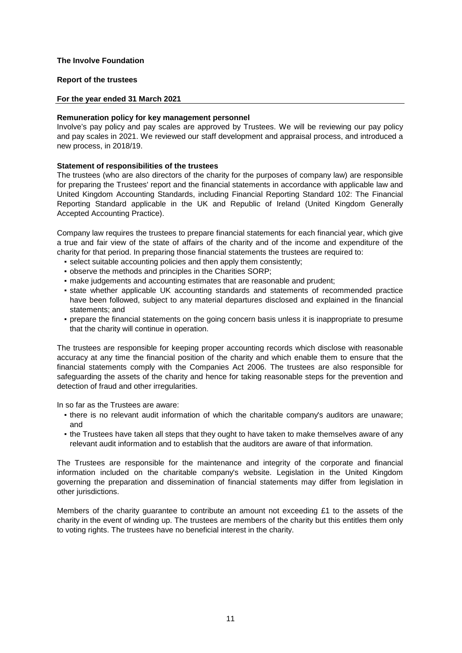## **Report of the trustees**

## **For the year ended 31 March 2021**

## **Remuneration policy for key management personnel**

Involve's pay policy and pay scales are approved by Trustees. We will be reviewing our pay policy and pay scales in 2021. We reviewed our staff development and appraisal process, and introduced a new process, in 2018/19.

## **Statement of responsibilities of the trustees**

The trustees (who are also directors of the charity for the purposes of company law) are responsible for preparing the Trustees' report and the financial statements in accordance with applicable law and United Kingdom Accounting Standards, including Financial Reporting Standard 102: The Financial Reporting Standard applicable in the UK and Republic of Ireland (United Kingdom Generally Accepted Accounting Practice).

Company law requires the trustees to prepare financial statements for each financial year, which give a true and fair view of the state of affairs of the charity and of the income and expenditure of the charity for that period. In preparing those financial statements the trustees are required to:

- select suitable accounting policies and then apply them consistently;
- observe the methods and principles in the Charities SORP;
- make judgements and accounting estimates that are reasonable and prudent;
- **•** state whether applicable UK accounting standards and statements of recommended practice have been followed, subject to any material departures disclosed and explained in the financial statements; and
- prepare the financial statements on the going concern basis unless it is inappropriate to presume that the charity will continue in operation.

The trustees are responsible for keeping proper accounting records which disclose with reasonable accuracy at any time the financial position of the charity and which enable them to ensure that the financial statements comply with the Companies Act 2006. The trustees are also responsible for safeguarding the assets of the charity and hence for taking reasonable steps for the prevention and detection of fraud and other irregularities.

In so far as the Trustees are aware:

- **•** there is no relevant audit information of which the charitable company's auditors are unaware; and
- $\bullet$  the Trustees have taken all steps that they ought to have taken to make themselves aware of any relevant audit information and to establish that the auditors are aware of that information.

The Trustees are responsible for the maintenance and integrity of the corporate and financial information included on the charitable company's website. Legislation in the United Kingdom governing the preparation and dissemination of financial statements may differ from legislation in other jurisdictions.

Members of the charity guarantee to contribute an amount not exceeding £1 to the assets of the charity in the event of winding up. The trustees are members of the charity but this entitles them only to voting rights. The trustees have no beneficial interest in the charity.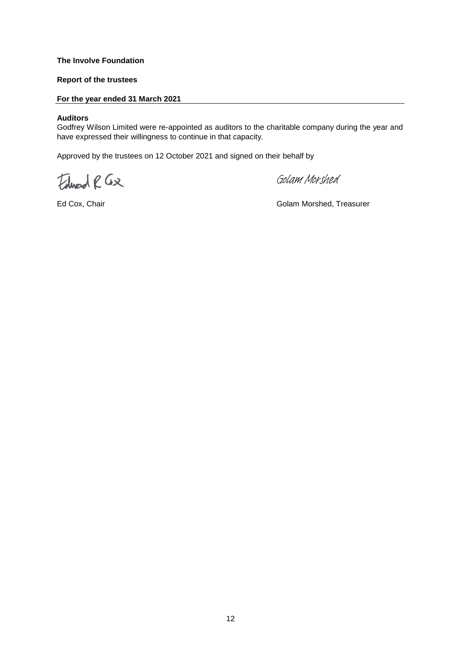## **Report of the trustees**

## **For the year ended 31 March 2021**

#### **Auditors**

Godfrey Wilson Limited were re-appointed as auditors to the charitable company during the year and have expressed their willingness to continue in that capacity.

Approved by the trustees on 12 October 2021 and signed on their behalf by

Edward R Gx

[Golam Morshed](https://eu1.documents.adobe.com/verifier?tx=CBJCHBCAABAAQjRzG8ofmZc8weVEn2D1qkw1fCv5g7cv)

Ed Cox, Chair Golam Morshed, Treasurer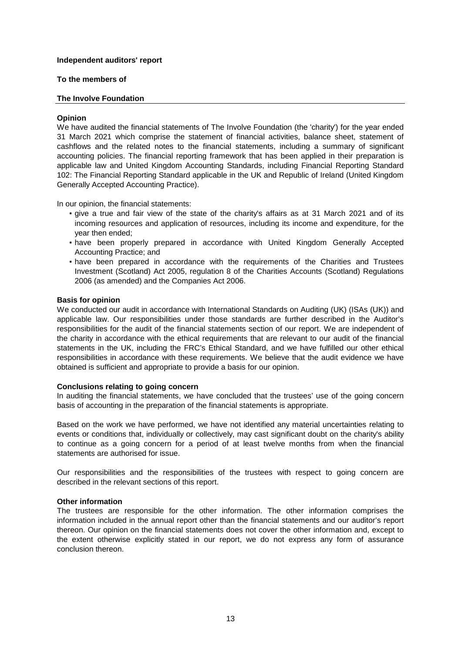## **To the members of**

## **The Involve Foundation**

## **Opinion**

We have audited the financial statements of The Involve Foundation (the 'charity') for the year ended 31 March 2021 which comprise the statement of financial activities, balance sheet, statement of cashflows and the related notes to the financial statements, including a summary of significant accounting policies. The financial reporting framework that has been applied in their preparation is applicable law and United Kingdom Accounting Standards, including Financial Reporting Standard 102: The Financial Reporting Standard applicable in the UK and Republic of Ireland (United Kingdom Generally Accepted Accounting Practice).

In our opinion, the financial statements:

- give a true and fair view of the state of the charity's affairs as at 31 March 2021 and of its incoming resources and application of resources, including its income and expenditure, for the year then ended;
- have been properly prepared in accordance with United Kingdom Generally Accepted Accounting Practice; and
- **•** have been prepared in accordance with the requirements of the Charities and Trustees Investment (Scotland) Act 2005, regulation 8 of the Charities Accounts (Scotland) Regulations 2006 (as amended) and the Companies Act 2006.

## **Basis for opinion**

We conducted our audit in accordance with International Standards on Auditing (UK) (ISAs (UK)) and applicable law. Our responsibilities under those standards are further described in the Auditor's responsibilities for the audit of the financial statements section of our report. We are independent of the charity in accordance with the ethical requirements that are relevant to our audit of the financial statements in the UK, including the FRC's Ethical Standard, and we have fulfilled our other ethical responsibilities in accordance with these requirements. We believe that the audit evidence we have obtained is sufficient and appropriate to provide a basis for our opinion.

## **Conclusions relating to going concern**

In auditing the financial statements, we have concluded that the trustees' use of the going concern basis of accounting in the preparation of the financial statements is appropriate.

Based on the work we have performed, we have not identified any material uncertainties relating to events or conditions that, individually or collectively, may cast significant doubt on the charity's ability to continue as a going concern for a period of at least twelve months from when the financial statements are authorised for issue.

Our responsibilities and the responsibilities of the trustees with respect to going concern are described in the relevant sections of this report.

#### **Other information**

The trustees are responsible for the other information. The other information comprises the information included in the annual report other than the financial statements and our auditor's report thereon. Our opinion on the financial statements does not cover the other information and, except to the extent otherwise explicitly stated in our report, we do not express any form of assurance conclusion thereon.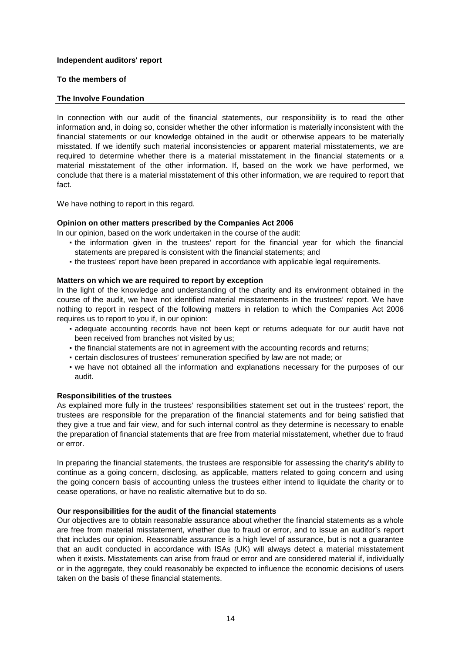## **To the members of**

## **The Involve Foundation**

In connection with our audit of the financial statements, our responsibility is to read the other information and, in doing so, consider whether the other information is materially inconsistent with the financial statements or our knowledge obtained in the audit or otherwise appears to be materially misstated. If we identify such material inconsistencies or apparent material misstatements, we are required to determine whether there is a material misstatement in the financial statements or a material misstatement of the other information. If, based on the work we have performed, we conclude that there is a material misstatement of this other information, we are required to report that fact.

We have nothing to report in this regard.

## **Opinion on other matters prescribed by the Companies Act 2006**

In our opinion, based on the work undertaken in the course of the audit:

- **•** the information given in the trustees' report for the financial year for which the financial statements are prepared is consistent with the financial statements; and
- the trustees' report have been prepared in accordance with applicable legal requirements.

#### **Matters on which we are required to report by exception**

In the light of the knowledge and understanding of the charity and its environment obtained in the course of the audit, we have not identified material misstatements in the trustees' report. We have nothing to report in respect of the following matters in relation to which the Companies Act 2006 requires us to report to you if, in our opinion:

- adequate accounting records have not been kept or returns adequate for our audit have not been received from branches not visited by us;
- the financial statements are not in agreement with the accounting records and returns;
- certain disclosures of trustees' remuneration specified by law are not made; or
- we have not obtained all the information and explanations necessary for the purposes of our audit.

#### **Responsibilities of the trustees**

As explained more fully in the trustees' responsibilities statement set out in the trustees' report, the trustees are responsible for the preparation of the financial statements and for being satisfied that they give a true and fair view, and for such internal control as they determine is necessary to enable the preparation of financial statements that are free from material misstatement, whether due to fraud or error.

In preparing the financial statements, the trustees are responsible for assessing the charity's ability to continue as a going concern, disclosing, as applicable, matters related to going concern and using the going concern basis of accounting unless the trustees either intend to liquidate the charity or to cease operations, or have no realistic alternative but to do so.

#### **Our responsibilities for the audit of the financial statements**

Our objectives are to obtain reasonable assurance about whether the financial statements as a whole are free from material misstatement, whether due to fraud or error, and to issue an auditor's report that includes our opinion. Reasonable assurance is a high level of assurance, but is not a guarantee that an audit conducted in accordance with ISAs (UK) will always detect a material misstatement when it exists. Misstatements can arise from fraud or error and are considered material if, individually or in the aggregate, they could reasonably be expected to influence the economic decisions of users taken on the basis of these financial statements.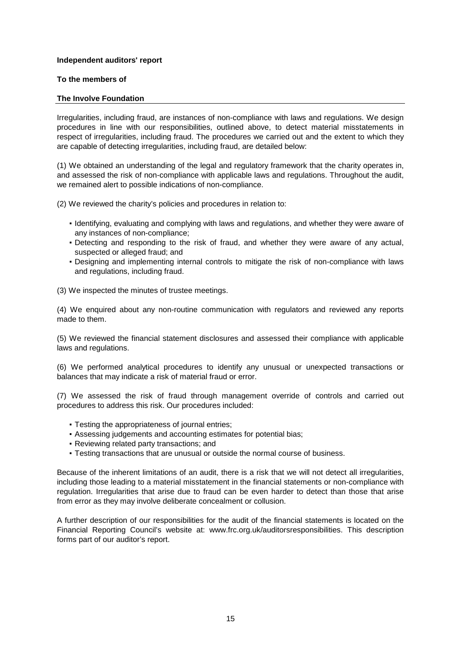## **To the members of**

## **The Involve Foundation**

Irregularities, including fraud, are instances of non-compliance with laws and regulations. We design procedures in line with our responsibilities, outlined above, to detect material misstatements in respect of irregularities, including fraud. The procedures we carried out and the extent to which they are capable of detecting irregularities, including fraud, are detailed below:

(1) We obtained an understanding of the legal and regulatory framework that the charity operates in, and assessed the risk of non-compliance with applicable laws and regulations. Throughout the audit, we remained alert to possible indications of non-compliance.

(2) We reviewed the charity's policies and procedures in relation to:

- Identifying, evaluating and complying with laws and regulations, and whether they were aware of any instances of non-compliance;
- Detecting and responding to the risk of fraud, and whether they were aware of any actual, suspected or alleged fraud; and
- Designing and implementing internal controls to mitigate the risk of non-compliance with laws and regulations, including fraud.

(3) We inspected the minutes of trustee meetings.

(4) We enquired about any non-routine communication with regulators and reviewed any reports made to them.

(5) We reviewed the financial statement disclosures and assessed their compliance with applicable laws and regulations.

(6) We performed analytical procedures to identify any unusual or unexpected transactions or balances that may indicate a risk of material fraud or error.

(7) We assessed the risk of fraud through management override of controls and carried out procedures to address this risk. Our procedures included:

- Testing the appropriateness of journal entries;
- Assessing judgements and accounting estimates for potential bias;
- Reviewing related party transactions; and
- Testing transactions that are unusual or outside the normal course of business.

Because of the inherent limitations of an audit, there is a risk that we will not detect all irregularities, including those leading to a material misstatement in the financial statements or non-compliance with regulation. Irregularities that arise due to fraud can be even harder to detect than those that arise from error as they may involve deliberate concealment or collusion.

A further description of our responsibilities for the audit of the financial statements is located on the Financial Reporting Council's website at: www.frc.org.uk/auditorsresponsibilities. This description forms part of our auditor's report.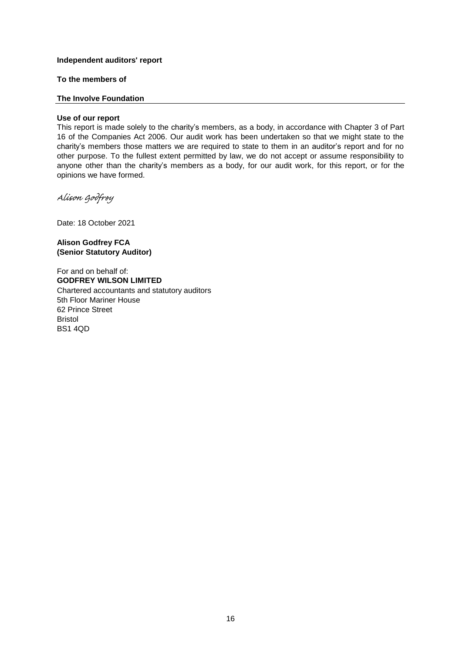**To the members of**

## **The Involve Foundation**

## **Use of our report**

This report is made solely to the charity's members, as a body, in accordance with Chapter 3 of Part 16 of the Companies Act 2006. Our audit work has been undertaken so that we might state to the charity's members those matters we are required to state to them in an auditor's report and for no other purpose. To the fullest extent permitted by law, we do not accept or assume responsibility to anyone other than the charity's members as a body, for our audit work, for this report, or for the opinions we have formed.

[Alison Godfrey](https://eu1.documents.adobe.com/verifier?tx=CBJCHBCAABAAQjRzG8ofmZc8weVEn2D1qkw1fCv5g7cv)

Date: 18 October 2021

**Alison Godfrey FCA (Senior Statutory Auditor)**

BS1 4QD For and on behalf of: **GODFREY WILSON LIMITED** Chartered accountants and statutory auditors 5th Floor Mariner House 62 Prince Street Bristol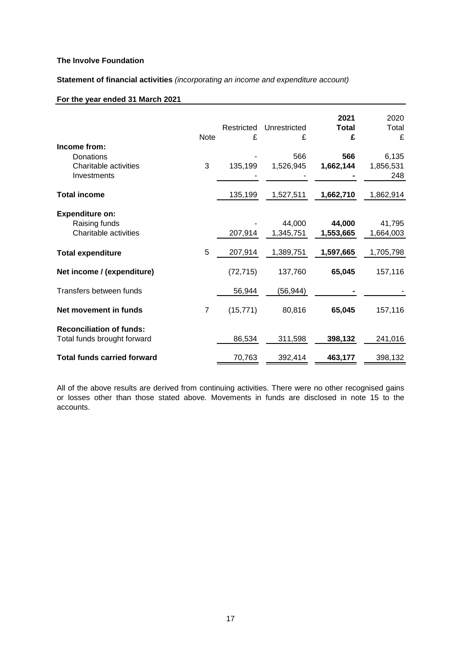**Statement of financial activities** *(incorporating an income and expenditure account)*

## **For the year ended 31 March 2021**

|                                                                   | Note           | Restricted<br>£ | Unrestricted<br>£   | 2021<br><b>Total</b><br>£ | 2020<br>Total<br>£        |
|-------------------------------------------------------------------|----------------|-----------------|---------------------|---------------------------|---------------------------|
| Income from:<br>Donations<br>Charitable activities<br>Investments | 3              | 135,199         | 566<br>1,526,945    | 566<br>1,662,144          | 6,135<br>1,856,531<br>248 |
| <b>Total income</b>                                               |                | 135,199         | 1,527,511           | 1,662,710                 | 1,862,914                 |
| <b>Expenditure on:</b><br>Raising funds<br>Charitable activities  |                | 207,914         | 44,000<br>1,345,751 | 44,000<br>1,553,665       | 41,795<br>1,664,003       |
| <b>Total expenditure</b>                                          | 5              | 207,914         | 1,389,751           | 1,597,665                 | 1,705,798                 |
| Net income / (expenditure)                                        |                | (72, 715)       | 137,760             | 65,045                    | 157,116                   |
| Transfers between funds                                           |                | 56,944          | (56, 944)           |                           |                           |
| Net movement in funds                                             | $\overline{7}$ | (15, 771)       | 80,816              | 65,045                    | 157,116                   |
| <b>Reconciliation of funds:</b><br>Total funds brought forward    |                | 86,534          | 311,598             | 398,132                   | 241,016                   |
| <b>Total funds carried forward</b>                                |                | 70,763          | 392,414             | 463,177                   | 398,132                   |

All of the above results are derived from continuing activities. There were no other recognised gains or losses other than those stated above. Movements in funds are disclosed in note 15 to the accounts.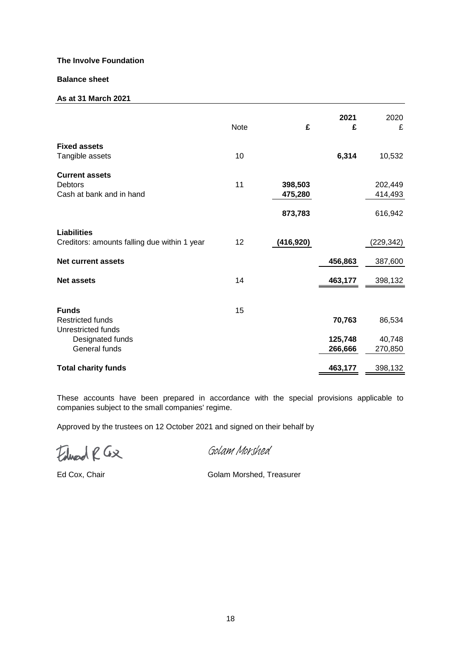## **Balance sheet**

## **As at 31 March 2021**

|                                                                     | <b>Note</b> | £                             | 2021<br>£          | 2020<br>£                     |
|---------------------------------------------------------------------|-------------|-------------------------------|--------------------|-------------------------------|
| <b>Fixed assets</b><br>Tangible assets                              | 10          |                               | 6,314              | 10,532                        |
| <b>Current assets</b><br><b>Debtors</b><br>Cash at bank and in hand | 11          | 398,503<br>475,280<br>873,783 |                    | 202,449<br>414,493<br>616,942 |
| <b>Liabilities</b><br>Creditors: amounts falling due within 1 year  | 12          | (416, 920)                    |                    | (229, 342)                    |
| <b>Net current assets</b>                                           |             |                               | 456,863            | 387,600                       |
| <b>Net assets</b>                                                   | 14          |                               | 463,177            | 398,132                       |
| <b>Funds</b><br><b>Restricted funds</b><br>Unrestricted funds       | 15          |                               | 70,763             | 86,534                        |
| Designated funds<br>General funds                                   |             |                               | 125,748<br>266,666 | 40,748<br>270,850             |
| <b>Total charity funds</b>                                          |             |                               | 463,177            | 398,132                       |

These accounts have been prepared in accordance with the special provisions applicable to companies subject to the small companies' regime.

Approved by the trustees on 12 October 2021 and signed on their behalf by

Edward R Gx

[Golam Morshed](https://eu1.documents.adobe.com/verifier?tx=CBJCHBCAABAAQjRzG8ofmZc8weVEn2D1qkw1fCv5g7cv)

Ed Cox, Chair Golam Morshed, Treasurer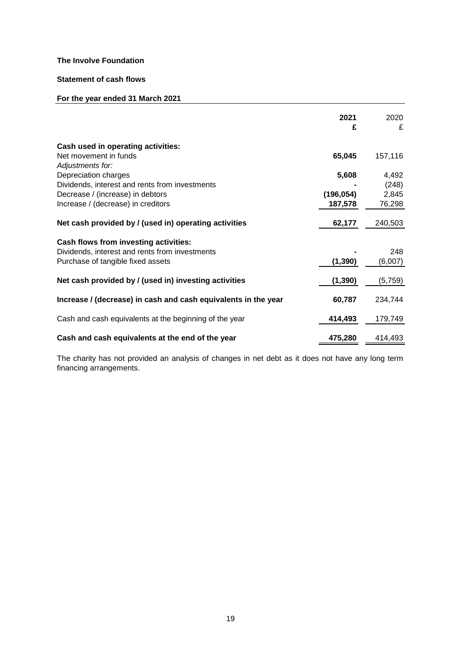# **Statement of cash flows**

## **For the year ended 31 March 2021**

|                                                                | 2021<br>£  | 2020<br>£ |
|----------------------------------------------------------------|------------|-----------|
| Cash used in operating activities:                             |            |           |
| Net movement in funds                                          | 65,045     | 157,116   |
| Adjustments for:                                               |            |           |
| Depreciation charges                                           | 5,608      | 4,492     |
| Dividends, interest and rents from investments                 |            | (248)     |
| Decrease / (increase) in debtors                               | (196, 054) | 2,845     |
| Increase / (decrease) in creditors                             | 187,578    | 76,298    |
| Net cash provided by / (used in) operating activities          | 62,177     | 240,503   |
| Cash flows from investing activities:                          |            |           |
| Dividends, interest and rents from investments                 |            | 248       |
| Purchase of tangible fixed assets                              | (1, 390)   | (6,007)   |
| Net cash provided by / (used in) investing activities          | (1, 390)   | (5,759)   |
| Increase / (decrease) in cash and cash equivalents in the year | 60,787     | 234,744   |
| Cash and cash equivalents at the beginning of the year         | 414,493    | 179,749   |
| Cash and cash equivalents at the end of the year               | 475,280    | 414,493   |

The charity has not provided an analysis of changes in net debt as it does not have any long term financing arrangements.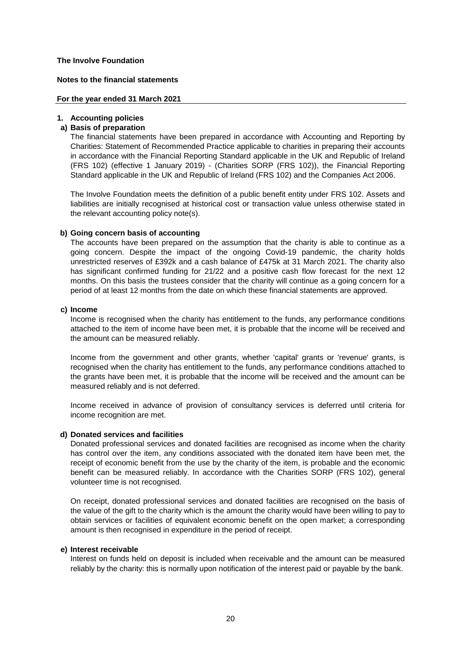#### **Notes to the financial statements**

## **For the year ended 31 March 2021**

## **1. Accounting policies**

## **a) Basis of preparation**

The financial statements have been prepared in accordance with Accounting and Reporting by Charities: Statement of Recommended Practice applicable to charities in preparing their accounts in accordance with the Financial Reporting Standard applicable in the UK and Republic of Ireland (FRS 102) (effective 1 January 2019) - (Charities SORP (FRS 102)), the Financial Reporting Standard applicable in the UK and Republic of Ireland (FRS 102) and the Companies Act 2006.

The Involve Foundation meets the definition of a public benefit entity under FRS 102. Assets and liabilities are initially recognised at historical cost or transaction value unless otherwise stated in the relevant accounting policy note(s).

## **b) Going concern basis of accounting**

The accounts have been prepared on the assumption that the charity is able to continue as a going concern. Despite the impact of the ongoing Covid-19 pandemic, the charity holds unrestricted reserves of £392k and a cash balance of £475k at 31 March 2021. The charity also has significant confirmed funding for 21/22 and a positive cash flow forecast for the next 12 months. On this basis the trustees consider that the charity will continue as a going concern for a period of at least 12 months from the date on which these financial statements are approved.

#### **c) Income**

Income is recognised when the charity has entitlement to the funds, any performance conditions attached to the item of income have been met, it is probable that the income will be received and the amount can be measured reliably.

Income from the government and other grants, whether 'capital' grants or 'revenue' grants, is recognised when the charity has entitlement to the funds, any performance conditions attached to the grants have been met, it is probable that the income will be received and the amount can be measured reliably and is not deferred.

Income received in advance of provision of consultancy services is deferred until criteria for income recognition are met.

## **d) Donated services and facilities**

Donated professional services and donated facilities are recognised as income when the charity has control over the item, any conditions associated with the donated item have been met, the receipt of economic benefit from the use by the charity of the item, is probable and the economic benefit can be measured reliably. In accordance with the Charities SORP (FRS 102), general volunteer time is not recognised.

On receipt, donated professional services and donated facilities are recognised on the basis of the value of the gift to the charity which is the amount the charity would have been willing to pay to obtain services or facilities of equivalent economic benefit on the open market; a corresponding amount is then recognised in expenditure in the period of receipt.

#### **e) Interest receivable**

Interest on funds held on deposit is included when receivable and the amount can be measured reliably by the charity: this is normally upon notification of the interest paid or payable by the bank.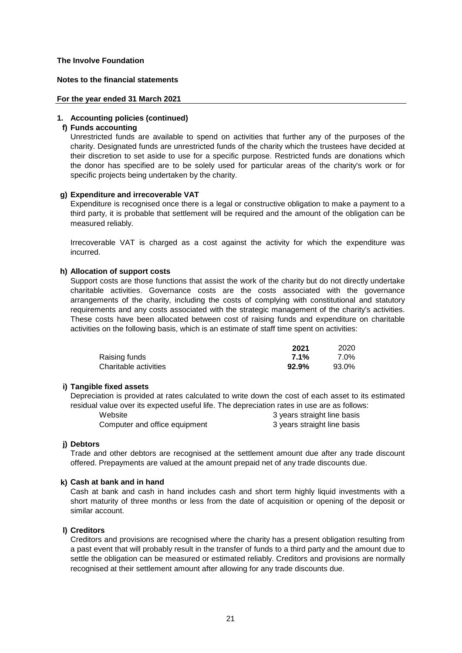## **Notes to the financial statements**

#### **For the year ended 31 March 2021**

## **1. Accounting policies (continued)**

#### **f) Funds accounting**

Unrestricted funds are available to spend on activities that further any of the purposes of the charity. Designated funds are unrestricted funds of the charity which the trustees have decided at their discretion to set aside to use for a specific purpose. Restricted funds are donations which the donor has specified are to be solely used for particular areas of the charity's work or for specific projects being undertaken by the charity.

## **g) Expenditure and irrecoverable VAT**

Expenditure is recognised once there is a legal or constructive obligation to make a payment to a third party, it is probable that settlement will be required and the amount of the obligation can be measured reliably.

Irrecoverable VAT is charged as a cost against the activity for which the expenditure was incurred.

## **h) Allocation of support costs**

Support costs are those functions that assist the work of the charity but do not directly undertake charitable activities. Governance costs are the costs associated with the governance arrangements of the charity, including the costs of complying with constitutional and statutory requirements and any costs associated with the strategic management of the charity's activities. These costs have been allocated between cost of raising funds and expenditure on charitable activities on the following basis, which is an estimate of staff time spent on activities:

|                       | 2021  | 2020  |
|-----------------------|-------|-------|
| Raising funds         | 7.1%  | 7.0%  |
| Charitable activities | 92.9% | 93.0% |

## **i) Tangible fixed assets**

Depreciation is provided at rates calculated to write down the cost of each asset to its estimated residual value over its expected useful life. The depreciation rates in use are as follows:

| Website                       | 3 years straight line basis |
|-------------------------------|-----------------------------|
| Computer and office equipment | 3 years straight line basis |

#### **j) Debtors**

Trade and other debtors are recognised at the settlement amount due after any trade discount offered. Prepayments are valued at the amount prepaid net of any trade discounts due.

## **k) Cash at bank and in hand**

Cash at bank and cash in hand includes cash and short term highly liquid investments with a short maturity of three months or less from the date of acquisition or opening of the deposit or similar account.

## **l) Creditors**

Creditors and provisions are recognised where the charity has a present obligation resulting from a past event that will probably result in the transfer of funds to a third party and the amount due to settle the obligation can be measured or estimated reliably. Creditors and provisions are normally recognised at their settlement amount after allowing for any trade discounts due.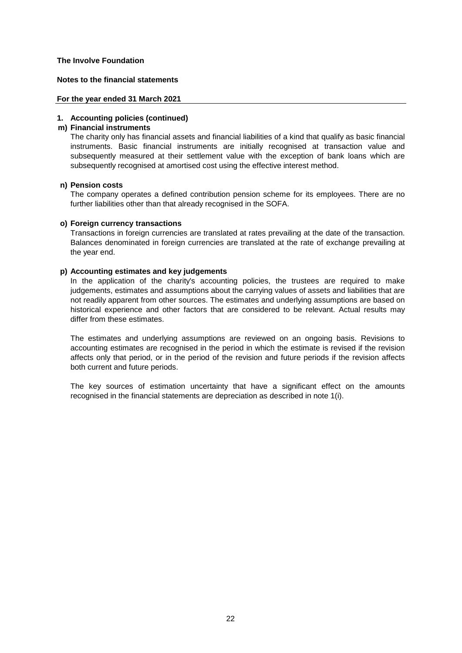## **Notes to the financial statements**

#### **For the year ended 31 March 2021**

## **1. Accounting policies (continued)**

## **m) Financial instruments**

The charity only has financial assets and financial liabilities of a kind that qualify as basic financial instruments. Basic financial instruments are initially recognised at transaction value and subsequently measured at their settlement value with the exception of bank loans which are subsequently recognised at amortised cost using the effective interest method.

## **n) Pension costs**

The company operates a defined contribution pension scheme for its employees. There are no further liabilities other than that already recognised in the SOFA.

## **o) Foreign currency transactions**

Transactions in foreign currencies are translated at rates prevailing at the date of the transaction. Balances denominated in foreign currencies are translated at the rate of exchange prevailing at the year end.

## **p) Accounting estimates and key judgements**

In the application of the charity's accounting policies, the trustees are required to make judgements, estimates and assumptions about the carrying values of assets and liabilities that are not readily apparent from other sources. The estimates and underlying assumptions are based on historical experience and other factors that are considered to be relevant. Actual results may differ from these estimates.

The estimates and underlying assumptions are reviewed on an ongoing basis. Revisions to accounting estimates are recognised in the period in which the estimate is revised if the revision affects only that period, or in the period of the revision and future periods if the revision affects both current and future periods.

The key sources of estimation uncertainty that have a significant effect on the amounts recognised in the financial statements are depreciation as described in note 1(i).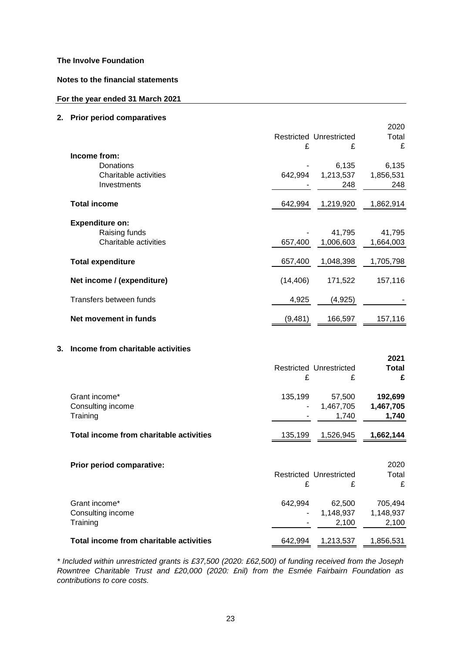## **Notes to the financial statements**

## **For the year ended 31 March 2021**

## **2. Prior period comparatives**

|    |                                                                   |              | Restricted Unrestricted      | 2020<br>Total                 |
|----|-------------------------------------------------------------------|--------------|------------------------------|-------------------------------|
|    |                                                                   | £            | £                            | £                             |
|    | Income from:<br>Donations<br>Charitable activities<br>Investments | 642,994      | 6,135<br>1,213,537<br>248    | 6,135<br>1,856,531<br>248     |
|    | <b>Total income</b>                                               | 642,994      | 1,219,920                    | 1,862,914                     |
|    | <b>Expenditure on:</b><br>Raising funds<br>Charitable activities  | 657,400      | 41,795<br>1,006,603          | 41,795<br>1,664,003           |
|    | <b>Total expenditure</b>                                          | 657,400      | 1,048,398                    | 1,705,798                     |
|    | Net income / (expenditure)                                        | (14, 406)    | 171,522                      | 157,116                       |
|    | Transfers between funds                                           | 4,925        | (4,925)                      |                               |
|    | Net movement in funds                                             | (9,481)      | 166,597                      | 157,116                       |
| 3. | Income from charitable activities                                 |              |                              |                               |
|    |                                                                   |              |                              | 2021                          |
|    |                                                                   | £            | Restricted Unrestricted<br>£ | <b>Total</b><br>£             |
|    | Grant income*<br>Consulting income<br>Training                    | 135,199      | 57,500<br>1,467,705<br>1,740 | 192,699<br>1,467,705<br>1,740 |
|    | Total income from charitable activities                           | 135,199      | 1,526,945                    | 1,662,144                     |
|    | Prior period comparative:                                         | £            | Restricted Unrestricted<br>£ | 2020<br>Total<br>£            |
|    | Grant income*<br>Consulting income<br>Training                    | 642,994<br>۰ | 62,500<br>1,148,937<br>2,100 | 705,494<br>1,148,937<br>2,100 |

*\* Included within unrestricted grants is £37,500 (2020: £62,500) of funding received from the Joseph Rowntree Charitable Trust and £20,000 (2020: £nil) from the Esmée Fairbairn Foundation as contributions to core costs.*

**Total income from charitable activities** 642,994 1,213,537 1,856,531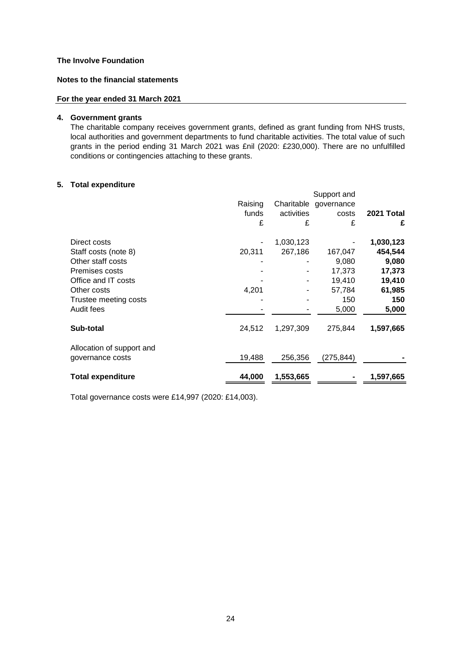## **Notes to the financial statements**

## **For the year ended 31 March 2021**

## **4. Government grants**

The charitable company receives government grants, defined as grant funding from NHS trusts, local authorities and government departments to fund charitable activities. The total value of such grants in the period ending 31 March 2021 was £nil (2020: £230,000). There are no unfulfilled conditions or contingencies attaching to these grants.

## **5. Total expenditure**

|                           |         |            | Support and |            |
|---------------------------|---------|------------|-------------|------------|
|                           | Raising | Charitable | governance  |            |
|                           | funds   | activities | costs       | 2021 Total |
|                           | £       | £          | £           | £          |
| Direct costs              |         | 1,030,123  |             | 1,030,123  |
| Staff costs (note 8)      | 20,311  | 267,186    | 167,047     | 454,544    |
| Other staff costs         |         |            | 9,080       | 9,080      |
| Premises costs            |         |            | 17,373      | 17,373     |
| Office and IT costs       |         |            | 19,410      | 19,410     |
| Other costs               | 4,201   |            | 57,784      | 61,985     |
| Trustee meeting costs     |         |            | 150         | 150        |
| Audit fees                |         |            | 5,000       | 5,000      |
| Sub-total                 | 24,512  | 1,297,309  | 275,844     | 1,597,665  |
| Allocation of support and |         |            |             |            |
| governance costs          | 19,488  | 256,356    | (275, 844)  |            |
| <b>Total expenditure</b>  | 44,000  | 1,553,665  |             | 1,597,665  |

Total governance costs were £14,997 (2020: £14,003).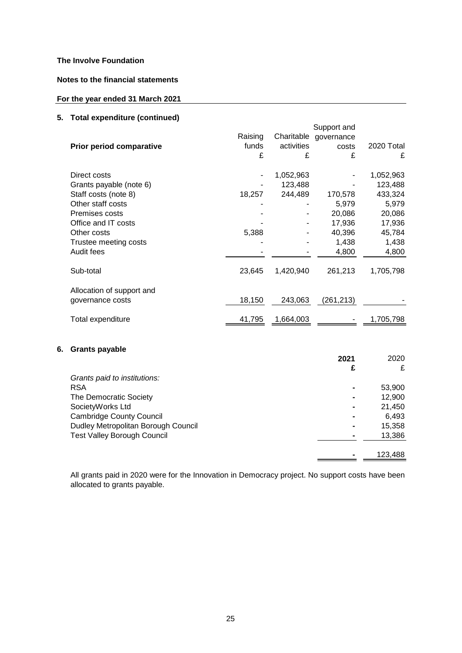## **Notes to the financial statements**

# **For the year ended 31 March 2021**

## **5. Total expenditure (continued)**

| u.u. u.pu.lu.lu. u (uu.luu)<br>Prior period comparative | Raising<br>funds<br>£ | Charitable<br>activities<br>£ | Support and<br>governance<br>costs<br>£ | 2020 Total<br>£ |
|---------------------------------------------------------|-----------------------|-------------------------------|-----------------------------------------|-----------------|
| Direct costs                                            |                       | 1,052,963                     |                                         | 1,052,963       |
| Grants payable (note 6)                                 |                       | 123,488                       |                                         | 123,488         |
| Staff costs (note 8)                                    | 18,257                | 244,489                       | 170,578                                 | 433,324         |
| Other staff costs                                       |                       |                               | 5,979                                   | 5,979           |
| Premises costs                                          |                       |                               | 20,086                                  | 20,086          |
| Office and IT costs                                     |                       |                               | 17,936                                  | 17,936          |
| Other costs                                             | 5,388                 |                               | 40,396                                  | 45,784          |
| Trustee meeting costs                                   |                       |                               | 1,438                                   | 1,438           |
| Audit fees                                              |                       |                               | 4,800                                   | 4,800           |
| Sub-total                                               | 23,645                | 1,420,940                     | 261,213                                 | 1,705,798       |
| Allocation of support and<br>governance costs           | 18,150                | 243,063                       | (261, 213)                              |                 |
| Total expenditure                                       | 41,795                | 1,664,003                     |                                         | 1,705,798       |
|                                                         |                       |                               |                                         |                 |

# **6. Grants payable**

|                                     | 2021 | 2020    |
|-------------------------------------|------|---------|
|                                     | £    | £       |
| Grants paid to institutions:        |      |         |
| <b>RSA</b>                          |      | 53,900  |
| The Democratic Society              |      | 12,900  |
| SocietyWorks Ltd                    |      | 21,450  |
| <b>Cambridge County Council</b>     |      | 6,493   |
| Dudley Metropolitan Borough Council |      | 15,358  |
| <b>Test Valley Borough Council</b>  |      | 13,386  |
|                                     |      |         |
|                                     |      | 123,488 |

All grants paid in 2020 were for the Innovation in Democracy project. No support costs have been allocated to grants payable.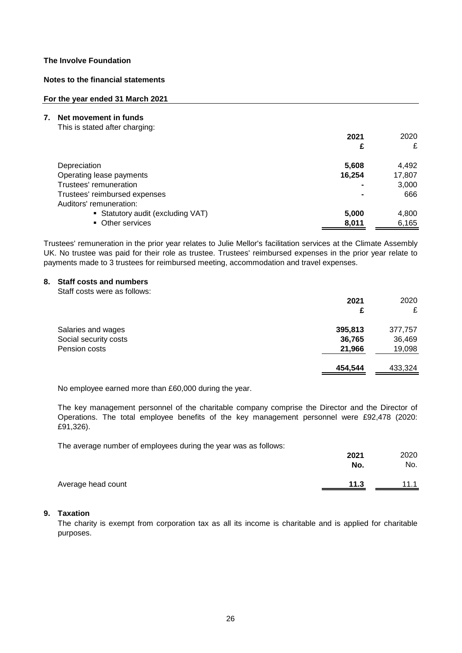## **Notes to the financial statements**

#### **For the year ended 31 March 2021**

- **7. Net movement in funds**
	- This is stated after charging:

| 2021                                       | 2020   |
|--------------------------------------------|--------|
|                                            | £<br>£ |
| Depreciation<br>5,608                      | 4,492  |
| Operating lease payments<br>16,254         | 17,807 |
| Trustees' remuneration                     | 3,000  |
| Trustees' reimbursed expenses              | 666    |
| Auditors' remuneration:                    |        |
| • Statutory audit (excluding VAT)<br>5,000 | 4,800  |
| • Other services<br>8,011                  | 6,165  |

Trustees' remuneration in the prior year relates to Julie Mellor's facilitation services at the Climate Assembly UK. No trustee was paid for their role as trustee. Trustees' reimbursed expenses in the prior year relate to payments made to 3 trustees for reimbursed meeting, accommodation and travel expenses.

## **8. Staff costs and numbers**

Staff costs were as follows:

|                       | 2021    | 2020    |
|-----------------------|---------|---------|
|                       | £       | £       |
| Salaries and wages    | 395,813 | 377,757 |
| Social security costs | 36,765  | 36,469  |
| Pension costs         | 21,966  | 19,098  |
|                       | 454,544 | 433,324 |

No employee earned more than £60,000 during the year.

The key management personnel of the charitable company comprise the Director and the Director of Operations. The total employee benefits of the key management personnel were £92,478 (2020: £91,326).

The average number of employees during the year was as follows:

|                    | 2021 | 2020 |
|--------------------|------|------|
|                    | No.  | No.  |
| Average head count | 11.3 | 11.1 |

# **9. Taxation**

The charity is exempt from corporation tax as all its income is charitable and is applied for charitable purposes.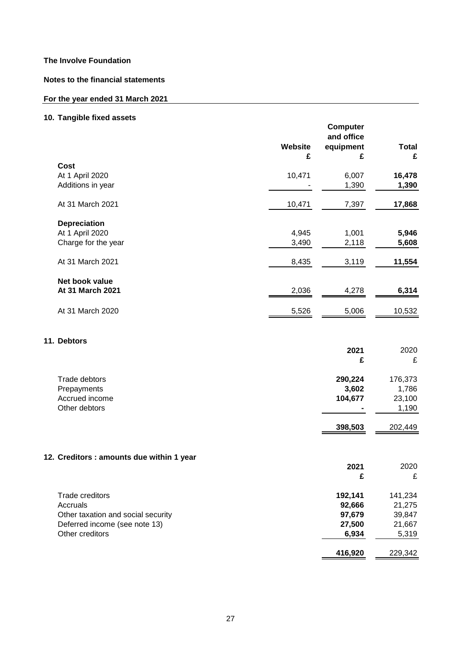**Notes to the financial statements**

# **For the year ended 31 March 2021**

# **10. Tangible fixed assets**

|                                           | Website<br>£ | <b>Computer</b><br>and office<br>equipment<br>£ | <b>Total</b><br>£ |
|-------------------------------------------|--------------|-------------------------------------------------|-------------------|
| <b>Cost</b>                               |              |                                                 |                   |
| At 1 April 2020                           | 10,471       | 6,007                                           | 16,478            |
| Additions in year                         |              | 1,390                                           | 1,390             |
| At 31 March 2021                          | 10,471       | 7,397                                           | 17,868            |
| <b>Depreciation</b>                       |              |                                                 |                   |
| At 1 April 2020                           | 4,945        | 1,001                                           | 5,946             |
| Charge for the year                       | 3,490        | 2,118                                           | 5,608             |
| At 31 March 2021                          | 8,435        | 3,119                                           | 11,554            |
| Net book value                            |              |                                                 |                   |
| At 31 March 2021                          | 2,036        | 4,278                                           | 6,314             |
| At 31 March 2020                          | 5,526        | 5,006                                           | 10,532            |
| 11. Debtors                               |              |                                                 |                   |
|                                           |              | 2021<br>£                                       | 2020<br>£         |
|                                           |              |                                                 |                   |
| Trade debtors                             |              | 290,224                                         | 176,373           |
| Prepayments<br>Accrued income             |              | 3,602                                           | 1,786             |
| Other debtors                             |              | 104,677                                         | 23,100<br>1,190   |
|                                           |              | 398,503                                         | 202,449           |
|                                           |              |                                                 |                   |
| 12. Creditors : amounts due within 1 year |              |                                                 |                   |
|                                           |              | 2021                                            | 2020              |
|                                           |              | £                                               | £                 |
| Trade creditors                           |              | 192,141                                         | 141,234           |
| Accruals                                  |              | 92,666                                          | 21,275            |
| Other taxation and social security        |              | 97,679                                          | 39,847            |
| Deferred income (see note 13)             |              | 27,500                                          | 21,667            |
| Other creditors                           |              | 6,934                                           | 5,319             |
|                                           |              | 416,920                                         | 229,342           |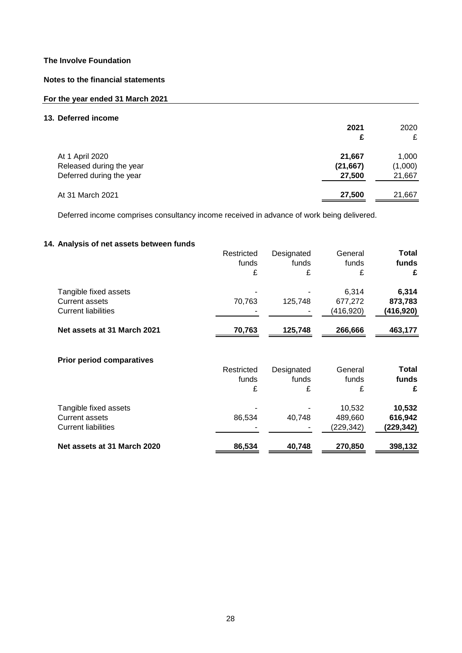## **Notes to the financial statements**

## **For the year ended 31 March 2021**

## **13. Deferred income**

|                                                                         | 2021<br>£                     | 2020<br>£                  |
|-------------------------------------------------------------------------|-------------------------------|----------------------------|
| At 1 April 2020<br>Released during the year<br>Deferred during the year | 21,667<br>(21, 667)<br>27,500 | 1,000<br>(1,000)<br>21,667 |
| At 31 March 2021                                                        | 27,500                        | 21,667                     |

Deferred income comprises consultancy income received in advance of work being delivered.

## **14. Analysis of net assets between funds**

|                                  | Restricted | Designated | General   | Total     |
|----------------------------------|------------|------------|-----------|-----------|
|                                  | funds      | funds      | funds     | funds     |
|                                  | £          | £          | £         | £         |
| Tangible fixed assets            |            |            | 6,314     | 6,314     |
| <b>Current assets</b>            | 70,763     | 125,748    | 677,272   | 873,783   |
| <b>Current liabilities</b>       |            |            | (416,920) | (416,920) |
| Net assets at 31 March 2021      | 70,763     | 125,748    | 266,666   | 463,177   |
| <b>Prior period comparatives</b> |            |            |           |           |
|                                  | Restricted | Designated | General   | Total     |
|                                  | funds      | funds      | funds     | funds     |
|                                  | £          | £          | £         | £         |
| Tangible fixed assets            |            |            | 10,532    | 10,532    |
| <b>Current assets</b>            | 86,534     | 40,748     | 489,660   | 616,942   |
| <b>Current liabilities</b>       |            |            | (229,342) | (229,342) |
| Net assets at 31 March 2020      | 86,534     | 40,748     | 270,850   | 398,132   |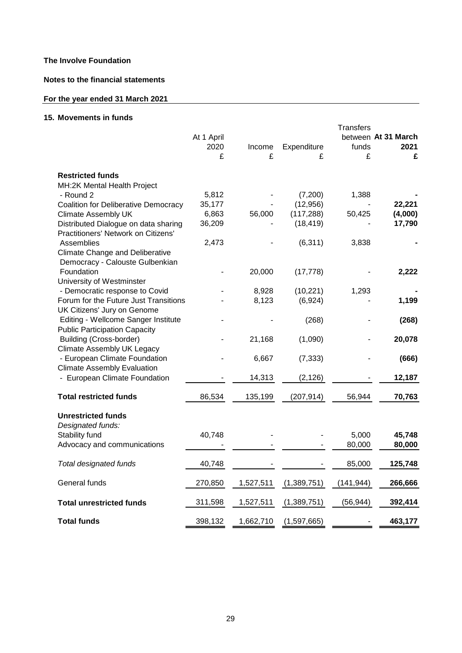## **Notes to the financial statements**

# **For the year ended 31 March 2021**

# **15. Movements in funds**

|                                                                           | At 1 April      |           |                      | <b>Transfers</b> | between At 31 March |
|---------------------------------------------------------------------------|-----------------|-----------|----------------------|------------------|---------------------|
|                                                                           | 2020            | Income    | Expenditure          | funds            | 2021                |
|                                                                           | £               | £         | £                    | £                | £                   |
|                                                                           |                 |           |                      |                  |                     |
| <b>Restricted funds</b>                                                   |                 |           |                      |                  |                     |
| MH:2K Mental Health Project                                               |                 |           |                      |                  |                     |
| - Round 2                                                                 | 5,812<br>35,177 |           | (7,200)<br>(12, 956) | 1,388            | 22,221              |
| <b>Coalition for Deliberative Democracy</b><br><b>Climate Assembly UK</b> | 6,863           | 56,000    | (117, 288)           | 50,425           | (4,000)             |
| Distributed Dialogue on data sharing                                      | 36,209          |           | (18, 419)            |                  | 17,790              |
| Practitioners' Network on Citizens'                                       |                 |           |                      |                  |                     |
| Assemblies                                                                | 2,473           |           | (6, 311)             | 3,838            |                     |
| <b>Climate Change and Deliberative</b>                                    |                 |           |                      |                  |                     |
| Democracy - Calouste Gulbenkian                                           |                 |           |                      |                  |                     |
| Foundation                                                                |                 | 20,000    | (17, 778)            |                  | 2,222               |
| University of Westminster                                                 |                 |           |                      |                  |                     |
| - Democratic response to Covid                                            |                 | 8,928     | (10, 221)            | 1,293            |                     |
| Forum for the Future Just Transitions                                     |                 | 8,123     | (6,924)              |                  | 1,199               |
| UK Citizens' Jury on Genome                                               |                 |           |                      |                  |                     |
| Editing - Wellcome Sanger Institute                                       |                 |           | (268)                |                  | (268)               |
| <b>Public Participation Capacity</b><br><b>Building (Cross-border)</b>    |                 |           |                      |                  |                     |
| Climate Assembly UK Legacy                                                |                 | 21,168    | (1,090)              |                  | 20,078              |
| - European Climate Foundation                                             |                 | 6,667     | (7, 333)             |                  | (666)               |
| <b>Climate Assembly Evaluation</b>                                        |                 |           |                      |                  |                     |
| - European Climate Foundation                                             |                 | 14,313    | (2, 126)             |                  | 12,187              |
|                                                                           |                 |           |                      |                  |                     |
| <b>Total restricted funds</b>                                             | 86,534          | 135,199   | (207, 914)           | 56.944           | 70,763              |
|                                                                           |                 |           |                      |                  |                     |
| <b>Unrestricted funds</b>                                                 |                 |           |                      |                  |                     |
| Designated funds:                                                         |                 |           |                      |                  |                     |
| Stability fund                                                            | 40,748          |           |                      | 5,000            | 45,748              |
| Advocacy and communications                                               |                 |           |                      | 80,000           | 80,000              |
| Total designated funds                                                    | 40,748          |           |                      | 85,000           | 125,748             |
|                                                                           |                 |           |                      |                  |                     |
| General funds                                                             | 270,850         | 1,527,511 | (1,389,751)          | (141, 944)       | 266,666             |
|                                                                           |                 |           |                      |                  |                     |
| <b>Total unrestricted funds</b>                                           | 311,598         | 1,527,511 | (1,389,751)          | (56, 944)        | 392,414             |
| <b>Total funds</b>                                                        | 398,132         | 1,662,710 | (1,597,665)          |                  | 463,177             |
|                                                                           |                 |           |                      |                  |                     |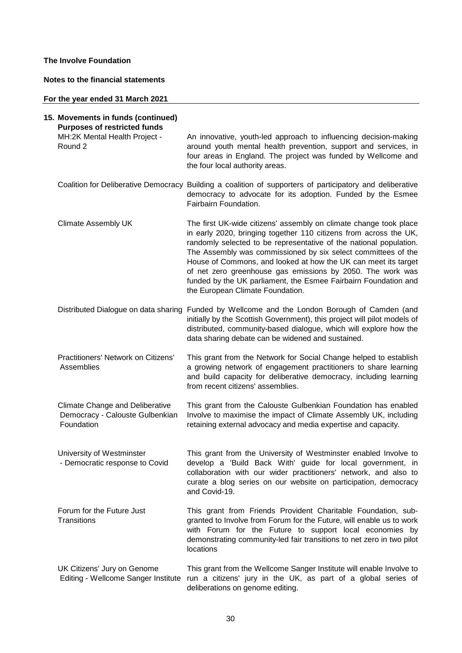## **Notes to the financial statements**

## **For the year ended 31 March 2021**

| 15. Movements in funds (continued)<br><b>Purposes of restricted funds</b>               |                                                                                                                                                                                                                                                                                                                                                                                                                                                                                                                      |
|-----------------------------------------------------------------------------------------|----------------------------------------------------------------------------------------------------------------------------------------------------------------------------------------------------------------------------------------------------------------------------------------------------------------------------------------------------------------------------------------------------------------------------------------------------------------------------------------------------------------------|
| MH:2K Mental Health Project -<br>Round 2                                                | An innovative, youth-led approach to influencing decision-making<br>around youth mental health prevention, support and services, in<br>four areas in England. The project was funded by Wellcome and<br>the four local authority areas.                                                                                                                                                                                                                                                                              |
|                                                                                         | Coalition for Deliberative Democracy Building a coalition of supporters of participatory and deliberative<br>democracy to advocate for its adoption. Funded by the Esmee<br>Fairbairn Foundation.                                                                                                                                                                                                                                                                                                                    |
| <b>Climate Assembly UK</b>                                                              | The first UK-wide citizens' assembly on climate change took place<br>in early 2020, bringing together 110 citizens from across the UK,<br>randomly selected to be representative of the national population.<br>The Assembly was commissioned by six select committees of the<br>House of Commons, and looked at how the UK can meet its target<br>of net zero greenhouse gas emissions by 2050. The work was<br>funded by the UK parliament, the Esmee Fairbairn Foundation and<br>the European Climate Foundation. |
|                                                                                         | Distributed Dialogue on data sharing Funded by Wellcome and the London Borough of Camden (and<br>initially by the Scottish Government), this project will pilot models of<br>distributed, community-based dialogue, which will explore how the<br>data sharing debate can be widened and sustained.                                                                                                                                                                                                                  |
| Practitioners' Network on Citizens'<br>Assemblies                                       | This grant from the Network for Social Change helped to establish<br>a growing network of engagement practitioners to share learning<br>and build capacity for deliberative democracy, including learning<br>from recent citizens' assemblies.                                                                                                                                                                                                                                                                       |
| <b>Climate Change and Deliberative</b><br>Democracy - Calouste Gulbenkian<br>Foundation | This grant from the Calouste Gulbenkian Foundation has enabled<br>Involve to maximise the impact of Climate Assembly UK, including<br>retaining external advocacy and media expertise and capacity.                                                                                                                                                                                                                                                                                                                  |
| University of Westminster<br>Democratic response to Covid                               | This grant from the University of Westminster enabled Involve to<br>develop a 'Build Back With' guide for local government, in<br>collaboration with our wider practitioners' network, and also to<br>curate a blog series on our website on participation, democracy<br>and Covid-19.                                                                                                                                                                                                                               |
| Forum for the Future Just<br><b>Transitions</b>                                         | This grant from Friends Provident Charitable Foundation, sub-<br>granted to Involve from Forum for the Future, will enable us to work<br>with Forum for the Future to support local economies by<br>demonstrating community-led fair transitions to net zero in two pilot<br>locations                                                                                                                                                                                                                               |
| UK Citizens' Jury on Genome<br>Editing - Wellcome Sanger Institute                      | This grant from the Wellcome Sanger Institute will enable Involve to<br>run a citizens' jury in the UK, as part of a global series of<br>deliberations on genome editing.                                                                                                                                                                                                                                                                                                                                            |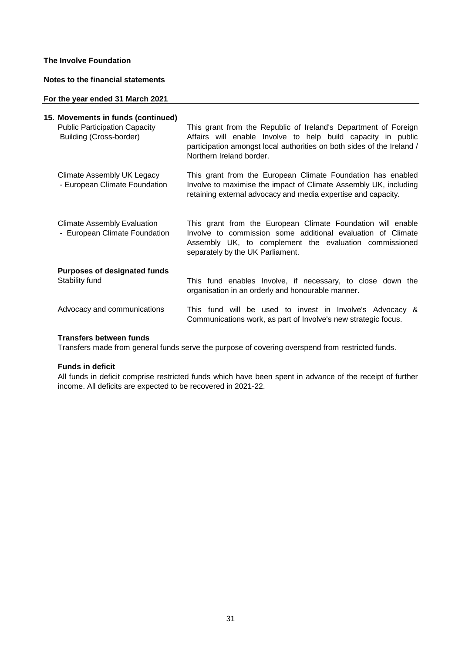## **Notes to the financial statements**

## **For the year ended 31 March 2021**

| 15. Movements in funds (continued)                                  |                                                                                                                                                                                                                                       |
|---------------------------------------------------------------------|---------------------------------------------------------------------------------------------------------------------------------------------------------------------------------------------------------------------------------------|
| <b>Public Participation Capacity</b><br>Building (Cross-border)     | This grant from the Republic of Ireland's Department of Foreign<br>Affairs will enable Involve to help build capacity in public<br>participation amongst local authorities on both sides of the Ireland /<br>Northern Ireland border. |
| Climate Assembly UK Legacy<br>- European Climate Foundation         | This grant from the European Climate Foundation has enabled<br>Involve to maximise the impact of Climate Assembly UK, including<br>retaining external advocacy and media expertise and capacity.                                      |
| <b>Climate Assembly Evaluation</b><br>- European Climate Foundation | This grant from the European Climate Foundation will enable<br>Involve to commission some additional evaluation of Climate<br>Assembly UK, to complement the evaluation commissioned<br>separately by the UK Parliament.              |
| <b>Purposes of designated funds</b><br>Stability fund               | This fund enables Involve, if necessary, to close down the<br>organisation in an orderly and honourable manner.                                                                                                                       |
| Advocacy and communications                                         | This fund will be used to invest in Involve's Advocacy &<br>Communications work, as part of Involve's new strategic focus.                                                                                                            |

## **Transfers between funds**

Transfers made from general funds serve the purpose of covering overspend from restricted funds.

#### **Funds in deficit**

All funds in deficit comprise restricted funds which have been spent in advance of the receipt of further income. All deficits are expected to be recovered in 2021-22.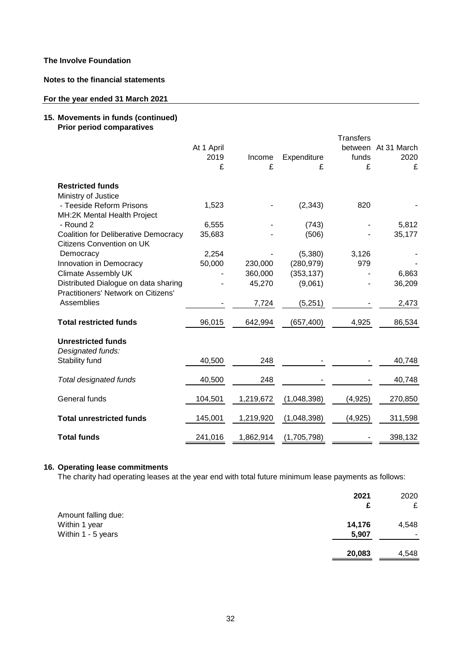**Notes to the financial statements**

## **For the year ended 31 March 2021**

## **15. Movements in funds (continued) Prior period comparatives**

|                                             |            |           |             | <b>Transfers</b> |             |
|---------------------------------------------|------------|-----------|-------------|------------------|-------------|
|                                             | At 1 April |           |             | between          | At 31 March |
|                                             | 2019       | Income    | Expenditure | funds            | 2020        |
|                                             | £          | £         | £           | £                | £           |
| <b>Restricted funds</b>                     |            |           |             |                  |             |
| Ministry of Justice                         |            |           |             |                  |             |
| - Teeside Reform Prisons                    | 1,523      |           | (2, 343)    | 820              |             |
| MH:2K Mental Health Project                 |            |           |             |                  |             |
| - Round 2                                   | 6,555      |           | (743)       |                  | 5,812       |
| <b>Coalition for Deliberative Democracy</b> | 35,683     |           | (506)       |                  | 35,177      |
| Citizens Convention on UK                   |            |           |             |                  |             |
| Democracy                                   | 2,254      |           | (5,380)     | 3,126            |             |
| Innovation in Democracy                     | 50,000     | 230,000   | (280, 979)  | 979              |             |
| <b>Climate Assembly UK</b>                  |            | 360,000   | (353, 137)  |                  | 6,863       |
| Distributed Dialogue on data sharing        |            | 45,270    | (9,061)     |                  | 36,209      |
| Practitioners' Network on Citizens'         |            |           |             |                  |             |
| Assemblies                                  |            | 7,724     | (5,251)     |                  | 2,473       |
|                                             |            |           |             |                  |             |
| <b>Total restricted funds</b>               | 96,015     | 642,994   | (657, 400)  | 4,925            | 86,534      |
|                                             |            |           |             |                  |             |
| <b>Unrestricted funds</b>                   |            |           |             |                  |             |
| Designated funds:                           |            |           |             |                  |             |
| Stability fund                              | 40,500     | 248       |             |                  | 40,748      |
|                                             |            |           |             |                  |             |
| Total designated funds                      | 40,500     | 248       |             |                  | 40,748      |
| General funds                               | 104,501    | 1,219,672 | (1,048,398) | (4, 925)         | 270,850     |
|                                             |            |           |             |                  |             |
| <b>Total unrestricted funds</b>             | 145,001    | 1,219,920 | (1,048,398) | (4,925)          | 311,598     |
|                                             |            |           |             |                  |             |
| <b>Total funds</b>                          | 241,016    | 1,862,914 | (1,705,798) |                  | 398,132     |

## **16. Operating lease commitments**

The charity had operating leases at the year end with total future minimum lease payments as follows:

|                     | 2021   | 2020  |
|---------------------|--------|-------|
|                     | £      | £     |
| Amount falling due: |        |       |
| Within 1 year       | 14,176 | 4,548 |
| Within 1 - 5 years  | 5,907  |       |
|                     |        |       |
|                     | 20,083 | 4,548 |